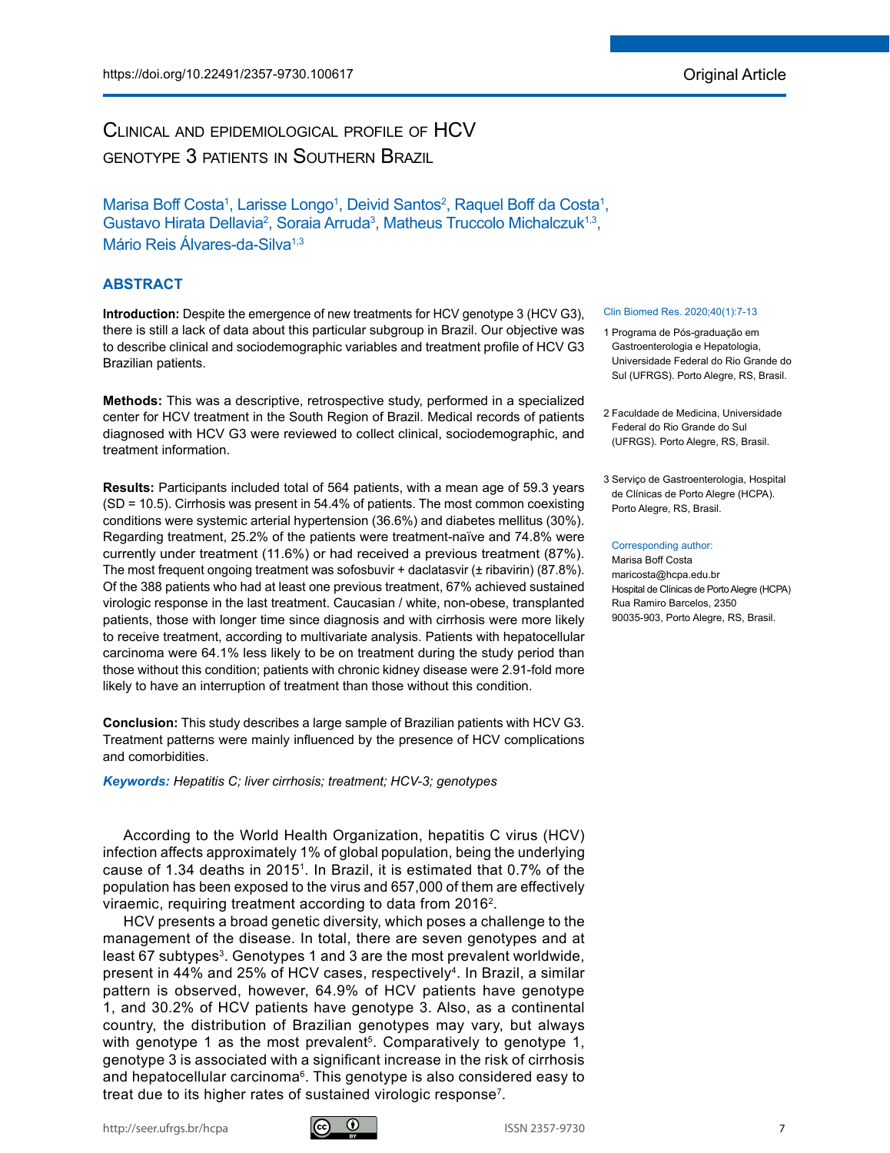# Clinical and epidemiological profile of HCV genotype 3 patients in Southern Brazil

Marisa Boff Costa<sup>1</sup>, Larisse Longo<sup>1</sup>, Deivid Santos<sup>2</sup>, Raquel Boff da Costa<sup>1</sup>, Gustavo Hirata Dellavia<sup>2</sup>, Soraia Arruda<sup>3</sup>, Matheus Truccolo Michalczuk<sup>1,3</sup>, Mário Reis Álvares-da-Silva<sup>1,3</sup>

# **ABSTRACT**

**Introduction:** Despite the emergence of new treatments for HCV genotype 3 (HCV G3). there is still a lack of data about this particular subgroup in Brazil. Our objective was to describe clinical and sociodemographic variables and treatment profile of HCV G3 Brazilian patients.

**Methods:** This was a descriptive, retrospective study, performed in a specialized center for HCV treatment in the South Region of Brazil. Medical records of patients diagnosed with HCV G3 were reviewed to collect clinical, sociodemographic, and treatment information.

**Results:** Participants included total of 564 patients, with a mean age of 59.3 years (SD = 10.5). Cirrhosis was present in 54.4% of patients. The most common coexisting conditions were systemic arterial hypertension (36.6%) and diabetes mellitus (30%). Regarding treatment, 25.2% of the patients were treatment-naïve and 74.8% were currently under treatment (11.6%) or had received a previous treatment (87%). The most frequent ongoing treatment was sofosbuvir + daclatasvir  $(±$  ribavirin) (87.8%). Of the 388 patients who had at least one previous treatment, 67% achieved sustained virologic response in the last treatment. Caucasian / white, non-obese, transplanted patients, those with longer time since diagnosis and with cirrhosis were more likely to receive treatment, according to multivariate analysis. Patients with hepatocellular carcinoma were 64.1% less likely to be on treatment during the study period than those without this condition; patients with chronic kidney disease were 2.91-fold more likely to have an interruption of treatment than those without this condition.

**Conclusion:** This study describes a large sample of Brazilian patients with HCV G3. Treatment patterns were mainly influenced by the presence of HCV complications and comorbidities.

*Keywords: Hepatitis C; liver cirrhosis; treatment; HCV-3; genotypes*

According to the World Health Organization, hepatitis C virus (HCV) infection affects approximately 1% of global population, being the underlying cause of 1.34 deaths in 20151. In Brazil, it is estimated that 0.7% of the population has been exposed to the virus and 657,000 of them are effectively viraemic, requiring treatment according to data from 20162.

HCV presents a broad genetic diversity, which poses a challenge to the management of the disease. In total, there are seven genotypes and at least 67 subtypes<sup>3</sup>. Genotypes 1 and 3 are the most prevalent worldwide, present in 44% and 25% of HCV cases, respectively<sup>4</sup>. In Brazil, a similar pattern is observed, however, 64.9% of HCV patients have genotype 1, and 30.2% of HCV patients have genotype 3. Also, as a continental country, the distribution of Brazilian genotypes may vary, but always with genotype 1 as the most prevalent<sup>5</sup>. Comparatively to genotype 1, genotype 3 is associated with a significant increase in the risk of cirrhosis and hepatocellular carcinoma<sup>6</sup>. This genotype is also considered easy to treat due to its higher rates of sustained virologic response7.

# Clin Biomed Res. 2020;40(1):7-13

- 1 Programa de Pós-graduação em Gastroenterologia e Hepatologia, Universidade Federal do Rio Grande do Sul (UFRGS). Porto Alegre, RS, Brasil.
- 2 Faculdade de Medicina, Universidade Federal do Rio Grande do Sul (UFRGS). Porto Alegre, RS, Brasil.
- 3 Serviço de Gastroenterologia, Hospital de Clínicas de Porto Alegre (HCPA). Porto Alegre, RS, Brasil.

#### Corresponding author:

Marisa Boff Costa maricosta@hcpa.edu.br Hospital de Clínicas de Porto Alegre (HCPA) Rua Ramiro Barcelos, 2350 90035-903, Porto Alegre, RS, Brasil.

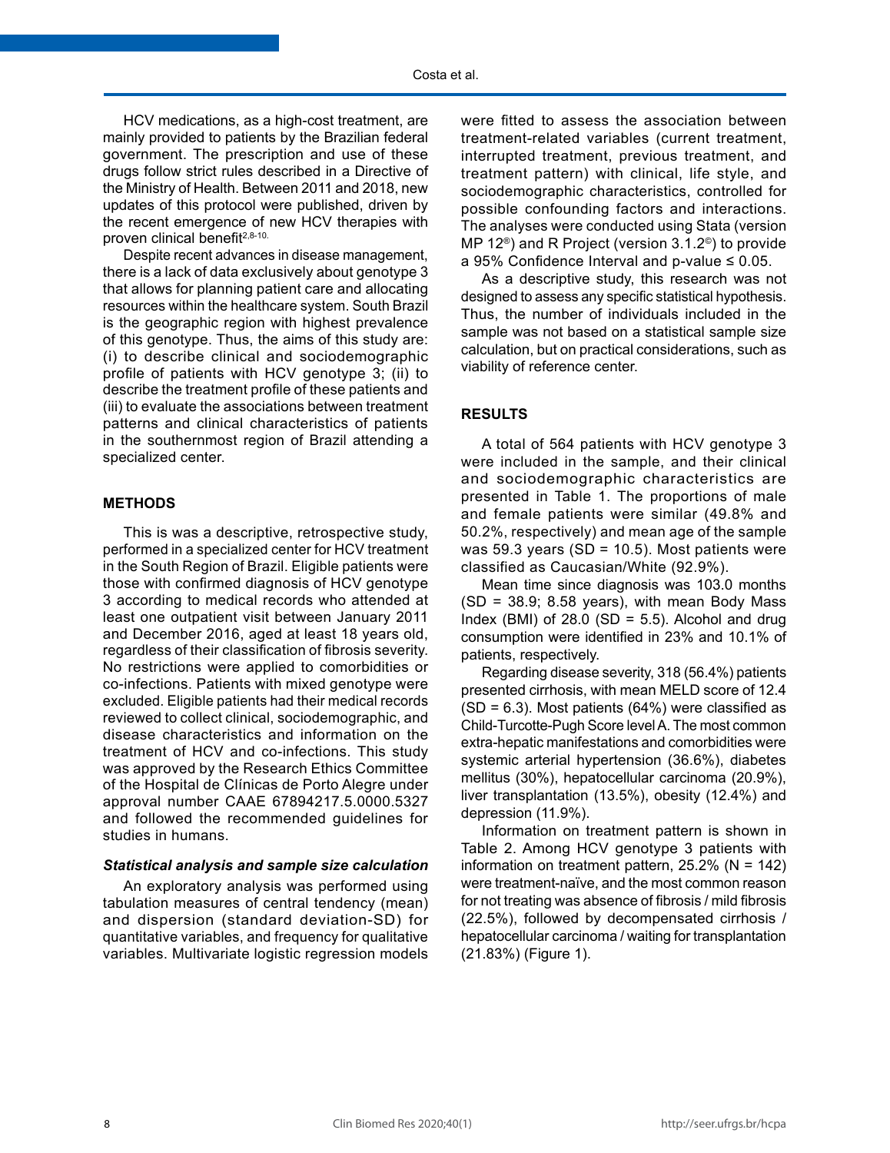HCV medications, as a high-cost treatment, are mainly provided to patients by the Brazilian federal government. The prescription and use of these drugs follow strict rules described in a Directive of the Ministry of Health. Between 2011 and 2018, new updates of this protocol were published, driven by the recent emergence of new HCV therapies with proven clinical benefit<sup>2,8-10.</sup>

Despite recent advances in disease management, there is a lack of data exclusively about genotype 3 that allows for planning patient care and allocating resources within the healthcare system. South Brazil is the geographic region with highest prevalence of this genotype. Thus, the aims of this study are: (i) to describe clinical and sociodemographic profile of patients with HCV genotype 3; (ii) to describe the treatment profile of these patients and (iii) to evaluate the associations between treatment patterns and clinical characteristics of patients in the southernmost region of Brazil attending a specialized center.

#### **METHODS**

This is was a descriptive, retrospective study, performed in a specialized center for HCV treatment in the South Region of Brazil. Eligible patients were those with confirmed diagnosis of HCV genotype 3 according to medical records who attended at least one outpatient visit between January 2011 and December 2016, aged at least 18 years old, regardless of their classification of fibrosis severity. No restrictions were applied to comorbidities or co-infections. Patients with mixed genotype were excluded. Eligible patients had their medical records reviewed to collect clinical, sociodemographic, and disease characteristics and information on the treatment of HCV and co-infections. This study was approved by the Research Ethics Committee of the Hospital de Clínicas de Porto Alegre under approval number CAAE 67894217.5.0000.5327 and followed the recommended guidelines for studies in humans.

# *Statistical analysis and sample size calculation*

An exploratory analysis was performed using tabulation measures of central tendency (mean) and dispersion (standard deviation-SD) for quantitative variables, and frequency for qualitative variables. Multivariate logistic regression models

were fitted to assess the association between treatment-related variables (current treatment, interrupted treatment, previous treatment, and treatment pattern) with clinical, life style, and sociodemographic characteristics, controlled for possible confounding factors and interactions. The analyses were conducted using Stata (version MP 12®) and R Project (version 3.1.2©) to provide a 95% Confidence Interval and p-value  $\leq 0.05$ .

As a descriptive study, this research was not designed to assess any specific statistical hypothesis. Thus, the number of individuals included in the sample was not based on a statistical sample size calculation, but on practical considerations, such as viability of reference center.

# **RESULTS**

A total of 564 patients with HCV genotype 3 were included in the sample, and their clinical and sociodemographic characteristics are presented in Table 1. The proportions of male and female patients were similar (49.8% and 50.2%, respectively) and mean age of the sample was 59.3 years ( $SD = 10.5$ ). Most patients were classified as Caucasian/White (92.9%).

Mean time since diagnosis was 103.0 months  $(SD = 38.9; 8.58 \text{ years})$ , with mean Body Mass Index (BMI) of  $28.0$  (SD = 5.5). Alcohol and drug consumption were identified in 23% and 10.1% of patients, respectively.

Regarding disease severity, 318 (56.4%) patients presented cirrhosis, with mean MELD score of 12.4  $(SD = 6.3)$ . Most patients  $(64%)$  were classified as Child-Turcotte-Pugh Score level A. The most common extra-hepatic manifestations and comorbidities were systemic arterial hypertension (36.6%), diabetes mellitus (30%), hepatocellular carcinoma (20.9%), liver transplantation (13.5%), obesity (12.4%) and depression (11.9%).

Information on treatment pattern is shown in Table 2. Among HCV genotype 3 patients with information on treatment pattern,  $25.2\%$  (N = 142) were treatment-naïve, and the most common reason for not treating was absence of fibrosis / mild fibrosis (22.5%), followed by decompensated cirrhosis / hepatocellular carcinoma / waiting for transplantation (21.83%) (Figure 1).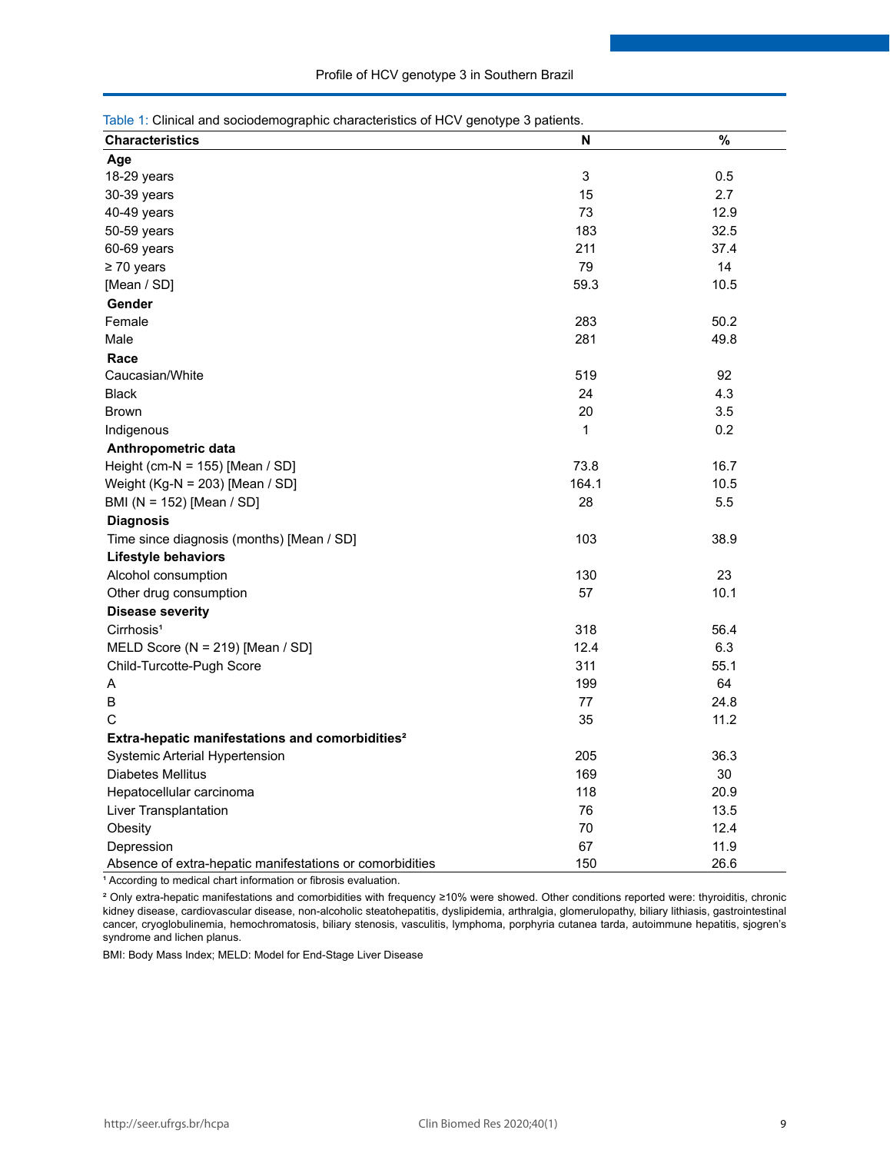| Table 1: Clinical and sociodemographic characteristics of HCV genotype 3 patients. |                           |      |  |
|------------------------------------------------------------------------------------|---------------------------|------|--|
| <b>Characteristics</b>                                                             | N                         | $\%$ |  |
| Age                                                                                |                           |      |  |
| 18-29 years                                                                        | $\ensuremath{\mathsf{3}}$ | 0.5  |  |
| 30-39 years                                                                        | 15                        | 2.7  |  |
| 40-49 years                                                                        | 73                        | 12.9 |  |
| 50-59 years                                                                        | 183                       | 32.5 |  |
| 60-69 years                                                                        | 211                       | 37.4 |  |
| $\geq 70$ years                                                                    | 79                        | 14   |  |
| [Mean / SD]                                                                        | 59.3                      | 10.5 |  |
| Gender                                                                             |                           |      |  |
| Female                                                                             | 283                       | 50.2 |  |
| Male                                                                               | 281                       | 49.8 |  |
| Race                                                                               |                           |      |  |
| Caucasian/White                                                                    | 519                       | 92   |  |
| <b>Black</b>                                                                       | 24                        | 4.3  |  |
| <b>Brown</b>                                                                       | 20                        | 3.5  |  |
| Indigenous                                                                         | 1                         | 0.2  |  |
| Anthropometric data                                                                |                           |      |  |
| Height (cm-N = $155$ ) [Mean / SD]                                                 | 73.8                      | 16.7 |  |
| Weight (Kg-N = 203) [Mean / SD]                                                    | 164.1                     | 10.5 |  |
| BMI (N = 152) [Mean / SD]                                                          | 28                        | 5.5  |  |
| <b>Diagnosis</b>                                                                   |                           |      |  |
| Time since diagnosis (months) [Mean / SD]                                          | 103                       | 38.9 |  |
| Lifestyle behaviors                                                                |                           |      |  |
| Alcohol consumption                                                                | 130                       | 23   |  |
| Other drug consumption                                                             | 57                        | 10.1 |  |
| <b>Disease severity</b>                                                            |                           |      |  |
| Cirrhosis <sup>1</sup>                                                             | 318                       | 56.4 |  |
| MELD Score (N = 219) [Mean / SD]                                                   | 12.4                      | 6.3  |  |
| Child-Turcotte-Pugh Score                                                          | 311                       | 55.1 |  |
| Α                                                                                  | 199                       | 64   |  |
| B                                                                                  | 77                        | 24.8 |  |
| С                                                                                  | 35                        | 11.2 |  |
| Extra-hepatic manifestations and comorbidities <sup>2</sup>                        |                           |      |  |
| Systemic Arterial Hypertension                                                     | 205                       | 36.3 |  |
| Diabetes Mellitus                                                                  | 169                       | 30   |  |
| Hepatocellular carcinoma                                                           | 118                       | 20.9 |  |
| Liver Transplantation                                                              | 76                        | 13.5 |  |
| Obesity                                                                            | 70                        | 12.4 |  |
| Depression                                                                         | 67                        | 11.9 |  |
| Absence of extra-hepatic manifestations or comorbidities                           | 150                       | 26.6 |  |

<sup>1</sup> According to medical chart information or fibrosis evaluation.

² Only extra-hepatic manifestations and comorbidities with frequency ≥10% were showed. Other conditions reported were: thyroiditis, chronic kidney disease, cardiovascular disease, non-alcoholic steatohepatitis, dyslipidemia, arthralgia, glomerulopathy, biliary lithiasis, gastrointestinal cancer, cryoglobulinemia, hemochromatosis, biliary stenosis, vasculitis, lymphoma, porphyria cutanea tarda, autoimmune hepatitis, sjogren's syndrome and lichen planus.

BMI: Body Mass Index; MELD: Model for End-Stage Liver Disease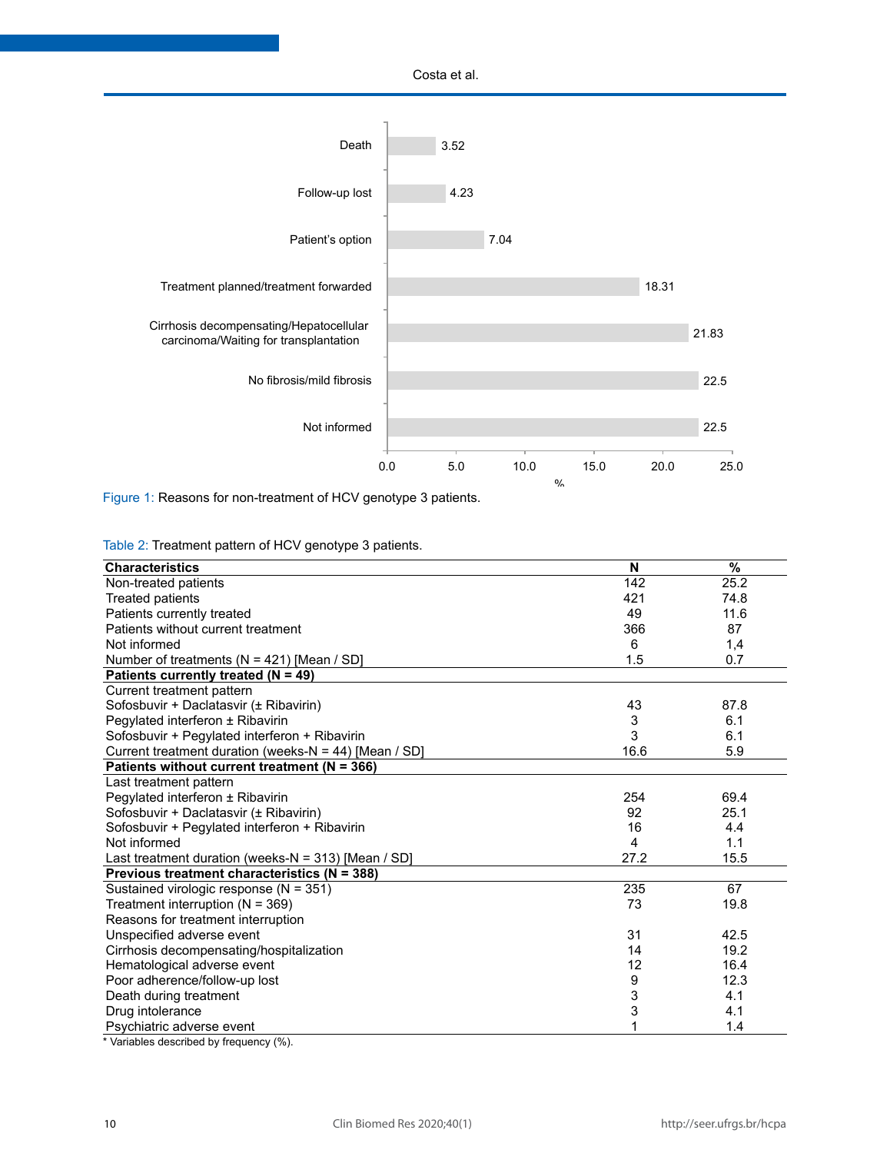Costa et al.



Figure 1: Reasons for non-treatment of HCV genotype 3 patients.

Table 2: Treatment pattern of HCV genotype 3 patients.

| <b>Characteristics</b>                                | N    | $\frac{9}{6}$ |
|-------------------------------------------------------|------|---------------|
| Non-treated patients                                  | 142  | 25.2          |
| <b>Treated patients</b>                               | 421  | 74.8          |
| Patients currently treated                            | 49   | 11.6          |
| Patients without current treatment                    | 366  | 87            |
| Not informed                                          | 6    | 1,4           |
| Number of treatments ( $N = 421$ ) [Mean / SD]        | 1.5  | 0.7           |
| Patients currently treated ( $N = 49$ )               |      |               |
| Current treatment pattern                             |      |               |
| Sofosbuvir + Daclatasvir (± Ribavirin)                | 43   | 87.8          |
| Pegylated interferon ± Ribavirin                      | 3    | 6.1           |
| Sofosbuvir + Pegylated interferon + Ribavirin         | 3    | 6.1           |
| Current treatment duration (weeks-N = 44) [Mean / SD] | 16.6 | 5.9           |
| Patients without current treatment ( $N = 366$ )      |      |               |
| Last treatment pattern                                |      |               |
| Pegylated interferon ± Ribavirin                      | 254  | 69.4          |
| Sofosbuvir + Daclatasvir (± Ribavirin)                | 92   | 25.1          |
| Sofosbuvir + Pegylated interferon + Ribavirin         | 16   | 4.4           |
| Not informed                                          | 4    | 1.1           |
| Last treatment duration (weeks-N = 313) [Mean / SD]   | 27.2 | 15.5          |
| Previous treatment characteristics (N = 388)          |      |               |
| Sustained virologic response (N = 351)                | 235  | 67            |
| Treatment interruption ( $N = 369$ )                  | 73   | 19.8          |
| Reasons for treatment interruption                    |      |               |
| Unspecified adverse event                             | 31   | 42.5          |
| Cirrhosis decompensating/hospitalization              | 14   | 19.2          |
| Hematological adverse event                           | 12   | 16.4          |
| Poor adherence/follow-up lost                         | 9    | 12.3          |
| Death during treatment                                | 3    | 4.1           |
| Drug intolerance                                      | 3    | 4.1           |
| Psychiatric adverse event                             |      | 1.4           |

\* Variables described by frequency (%).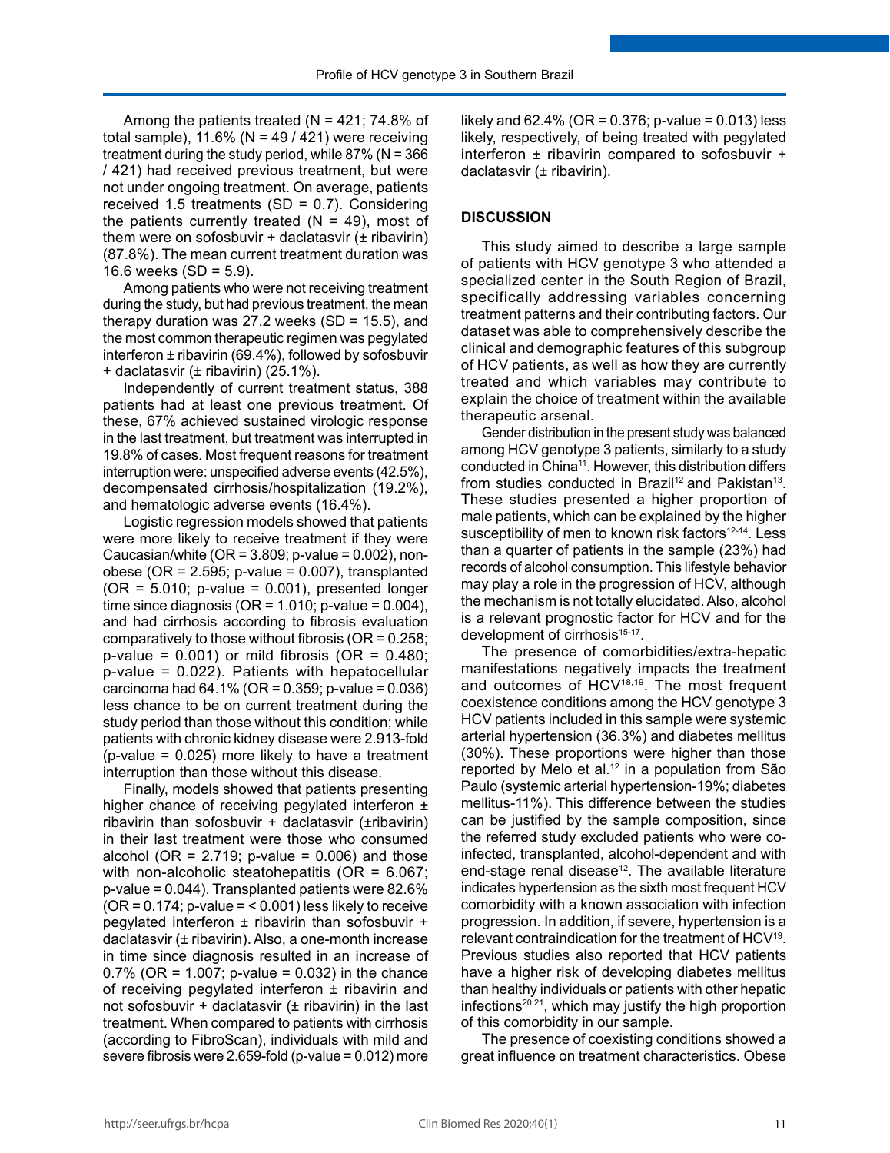Among the patients treated ( $N = 421$ ; 74.8% of total sample),  $11.6\%$  (N = 49 / 421) were receiving treatment during the study period, while  $87\%$  (N =  $366$ ) / 421) had received previous treatment, but were not under ongoing treatment. On average, patients received 1.5 treatments (SD = 0.7). Considering the patients currently treated  $(N = 49)$ , most of them were on sofosbuvir  $+$  daclatasvir ( $\pm$  ribavirin) (87.8%). The mean current treatment duration was 16.6 weeks  $(SD = 5.9)$ .

Among patients who were not receiving treatment during the study, but had previous treatment, the mean therapy duration was 27.2 weeks  $(SD = 15.5)$ , and the most common therapeutic regimen was pegylated interferon ± ribavirin (69.4%), followed by sofosbuvir + daclatasvir (± ribavirin) (25.1%).

Independently of current treatment status, 388 patients had at least one previous treatment. Of these, 67% achieved sustained virologic response in the last treatment, but treatment was interrupted in 19.8% of cases. Most frequent reasons for treatment interruption were: unspecified adverse events (42.5%), decompensated cirrhosis/hospitalization (19.2%), and hematologic adverse events (16.4%).

Logistic regression models showed that patients were more likely to receive treatment if they were Caucasian/white ( $OR = 3.809$ ; p-value = 0.002), nonobese (OR = 2.595; p-value = 0.007), transplanted  $(OR = 5.010; p-value = 0.001)$ , presented longer time since diagnosis ( $OR = 1.010$ ; p-value = 0.004), and had cirrhosis according to fibrosis evaluation comparatively to those without fibrosis (OR = 0.258;  $p$ -value = 0.001) or mild fibrosis (OR = 0.480; p-value = 0.022). Patients with hepatocellular carcinoma had  $64.1\%$  (OR = 0.359; p-value = 0.036) less chance to be on current treatment during the study period than those without this condition; while patients with chronic kidney disease were 2.913-fold  $(p-value = 0.025)$  more likely to have a treatment interruption than those without this disease.

Finally, models showed that patients presenting higher chance of receiving pegylated interferon  $\pm$ ribavirin than sofosbuvir + daclatasvir (±ribavirin) in their last treatment were those who consumed alcohol ( $OR = 2.719$ ; p-value = 0.006) and those with non-alcoholic steatohepatitis (OR = 6.067; p-value = 0.044). Transplanted patients were 82.6%  $(OR = 0.174; p-value =  $0.001$ ) less likely to receive$ pegylated interferon ± ribavirin than sofosbuvir + daclatasvir (± ribavirin). Also, a one-month increase in time since diagnosis resulted in an increase of 0.7% (OR = 1.007; p-value = 0.032) in the chance of receiving pegylated interferon  $\pm$  ribavirin and not sofosbuvir + daclatasvir  $(±$  ribavirin) in the last treatment. When compared to patients with cirrhosis (according to FibroScan), individuals with mild and severe fibrosis were 2.659-fold (p-value = 0.012) more

likely and  $62.4\%$  (OR = 0.376; p-value = 0.013) less likely, respectively, of being treated with pegylated interferon ± ribavirin compared to sofosbuvir + daclatasvir (± ribavirin).

#### **DISCUSSION**

This study aimed to describe a large sample of patients with HCV genotype 3 who attended a specialized center in the South Region of Brazil, specifically addressing variables concerning treatment patterns and their contributing factors. Our dataset was able to comprehensively describe the clinical and demographic features of this subgroup of HCV patients, as well as how they are currently treated and which variables may contribute to explain the choice of treatment within the available therapeutic arsenal.

Gender distribution in the present study was balanced among HCV genotype 3 patients, similarly to a study conducted in China11. However, this distribution differs from studies conducted in Brazil<sup>12</sup> and Pakistan<sup>13</sup>. These studies presented a higher proportion of male patients, which can be explained by the higher susceptibility of men to known risk factors<sup>12-14</sup>. Less than a quarter of patients in the sample (23%) had records of alcohol consumption. This lifestyle behavior may play a role in the progression of HCV, although the mechanism is not totally elucidated. Also, alcohol is a relevant prognostic factor for HCV and for the development of cirrhosis<sup>15-17</sup>.

The presence of comorbidities/extra-hepatic manifestations negatively impacts the treatment and outcomes of HCV<sup>18,19</sup>. The most frequent coexistence conditions among the HCV genotype 3 HCV patients included in this sample were systemic arterial hypertension (36.3%) and diabetes mellitus (30%). These proportions were higher than those reported by Melo et al.<sup>12</sup> in a population from São Paulo (systemic arterial hypertension-19%; diabetes mellitus-11%). This difference between the studies can be justified by the sample composition, since the referred study excluded patients who were coinfected, transplanted, alcohol-dependent and with end-stage renal disease<sup>12</sup>. The available literature indicates hypertension as the sixth most frequent HCV comorbidity with a known association with infection progression. In addition, if severe, hypertension is a relevant contraindication for the treatment of HCV19. Previous studies also reported that HCV patients have a higher risk of developing diabetes mellitus than healthy individuals or patients with other hepatic infections $20,21$ , which may justify the high proportion of this comorbidity in our sample.

The presence of coexisting conditions showed a great influence on treatment characteristics. Obese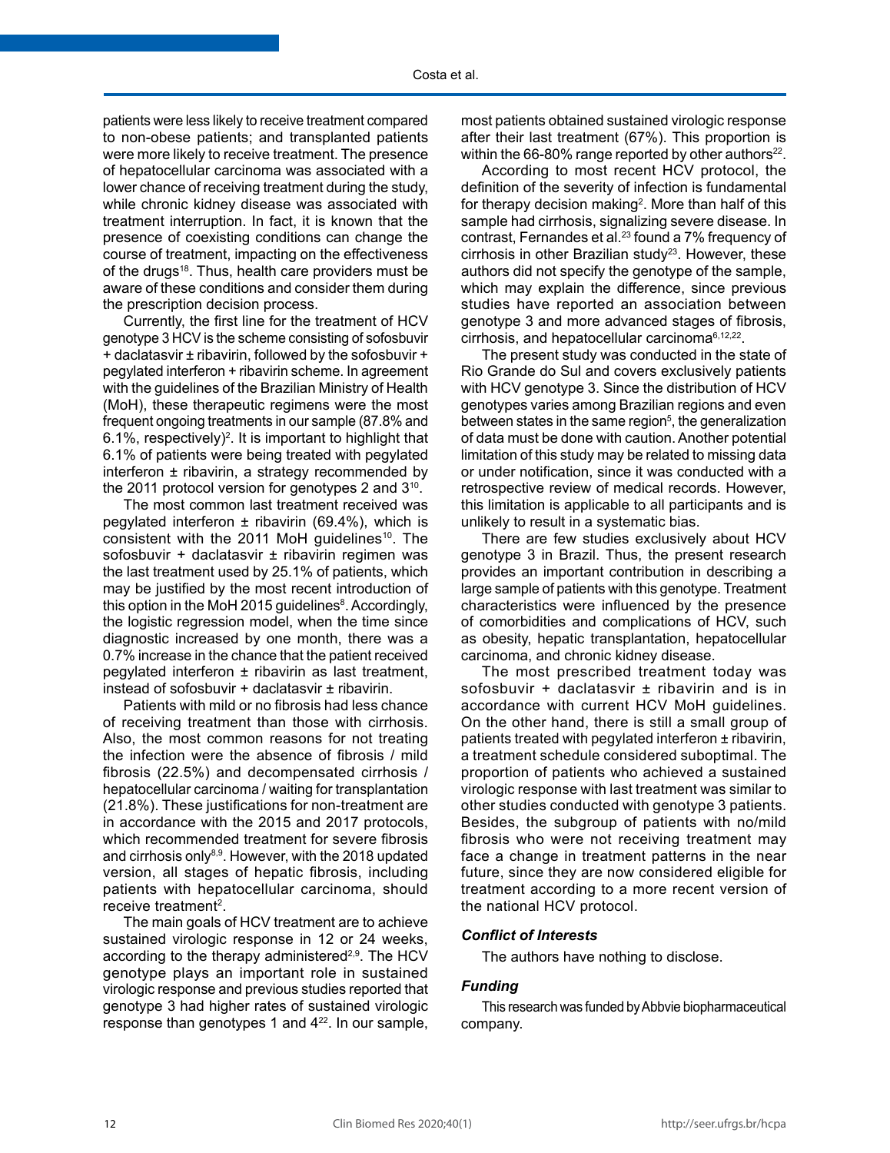patients were less likely to receive treatment compared to non-obese patients; and transplanted patients were more likely to receive treatment. The presence of hepatocellular carcinoma was associated with a lower chance of receiving treatment during the study, while chronic kidney disease was associated with treatment interruption. In fact, it is known that the presence of coexisting conditions can change the course of treatment, impacting on the effectiveness of the drugs<sup>18</sup>. Thus, health care providers must be aware of these conditions and consider them during the prescription decision process.

Currently, the first line for the treatment of HCV genotype 3 HCV is the scheme consisting of sofosbuvir + daclatasvir ± ribavirin, followed by the sofosbuvir + pegylated interferon + ribavirin scheme. In agreement with the guidelines of the Brazilian Ministry of Health (MoH), these therapeutic regimens were the most frequent ongoing treatments in our sample (87.8% and 6.1%, respectively)<sup>2</sup>. It is important to highlight that 6.1% of patients were being treated with pegylated interferon  $\pm$  ribavirin, a strategy recommended by the 2011 protocol version for genotypes 2 and 310.

The most common last treatment received was pegylated interferon  $\pm$  ribavirin (69.4%), which is consistent with the 2011 MoH guidelines<sup>10</sup>. The sofosbuvir + daclatasvir ± ribavirin regimen was the last treatment used by 25.1% of patients, which may be justified by the most recent introduction of this option in the MoH 2015 guidelines<sup>8</sup>. Accordingly, the logistic regression model, when the time since diagnostic increased by one month, there was a 0.7% increase in the chance that the patient received pegylated interferon ± ribavirin as last treatment, instead of sofosbuvir + daclatasvir ± ribavirin.

Patients with mild or no fibrosis had less chance of receiving treatment than those with cirrhosis. Also, the most common reasons for not treating the infection were the absence of fibrosis / mild fibrosis (22.5%) and decompensated cirrhosis / hepatocellular carcinoma / waiting for transplantation (21.8%). These justifications for non-treatment are in accordance with the 2015 and 2017 protocols, which recommended treatment for severe fibrosis and cirrhosis only<sup>8,9</sup>. However, with the 2018 updated version, all stages of hepatic fibrosis, including patients with hepatocellular carcinoma, should receive treatment<sup>2</sup>.

The main goals of HCV treatment are to achieve sustained virologic response in 12 or 24 weeks, according to the therapy administered<sup>2,9</sup>. The HCV genotype plays an important role in sustained virologic response and previous studies reported that genotype 3 had higher rates of sustained virologic response than genotypes 1 and 422. In our sample,

most patients obtained sustained virologic response after their last treatment (67%). This proportion is within the 66-80% range reported by other authors<sup>22</sup>.

According to most recent HCV protocol, the definition of the severity of infection is fundamental for therapy decision making<sup>2</sup>. More than half of this sample had cirrhosis, signalizing severe disease. In contrast, Fernandes et al.<sup>23</sup> found a 7% frequency of  $circhosis$  in other Brazilian study<sup>23</sup>. However, these authors did not specify the genotype of the sample, which may explain the difference, since previous studies have reported an association between genotype 3 and more advanced stages of fibrosis, cirrhosis, and hepatocellular carcinoma6,12,22.

The present study was conducted in the state of Rio Grande do Sul and covers exclusively patients with HCV genotype 3. Since the distribution of HCV genotypes varies among Brazilian regions and even between states in the same region<sup>5</sup>, the generalization of data must be done with caution. Another potential limitation of this study may be related to missing data or under notification, since it was conducted with a retrospective review of medical records. However, this limitation is applicable to all participants and is unlikely to result in a systematic bias.

There are few studies exclusively about HCV genotype 3 in Brazil. Thus, the present research provides an important contribution in describing a large sample of patients with this genotype. Treatment characteristics were influenced by the presence of comorbidities and complications of HCV, such as obesity, hepatic transplantation, hepatocellular carcinoma, and chronic kidney disease.

The most prescribed treatment today was sofosbuvir + daclatasvir ± ribavirin and is in accordance with current HCV MoH guidelines. On the other hand, there is still a small group of patients treated with pegylated interferon ± ribavirin, a treatment schedule considered suboptimal. The proportion of patients who achieved a sustained virologic response with last treatment was similar to other studies conducted with genotype 3 patients. Besides, the subgroup of patients with no/mild fibrosis who were not receiving treatment may face a change in treatment patterns in the near future, since they are now considered eligible for treatment according to a more recent version of the national HCV protocol.

# *Conflict of Interests*

The authors have nothing to disclose.

# *Funding*

This research was funded by Abbvie biopharmaceutical company.